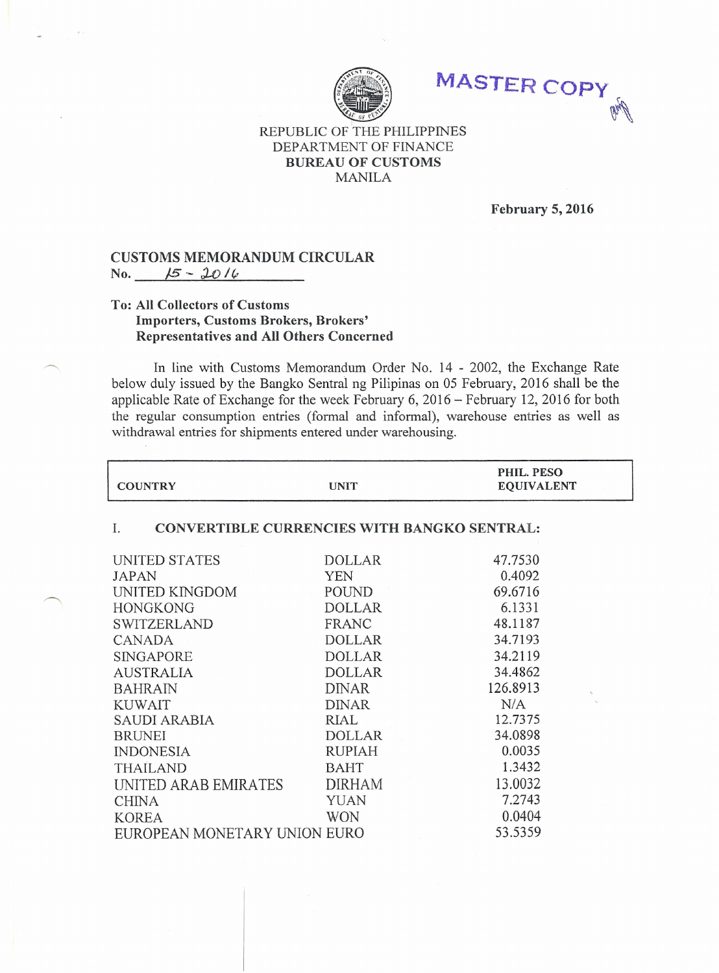

**MASTER** COPY' **Graff** 

## REPUBLIC OF THE PHILIPPINES DEPARTMENT OF FINANCE BUREAU OF CUSTOMS MANILA

February 5, 2016

## CUSTOMS MEMORANDUM CIRCULAR  $N_0$ .  $15 - 2016$

## To: All Collectors of Customs Importers, Customs Brokers, Brokers' Representatives and All Others Concerned

In line with Customs Memorandum Order No. 14 - 2002, the Exchange Rate below duly issued by the Bangko Sentral ng Pilipinas on 05 February, 2016 shall be the applicable Rate of Exchange for the week February 6, 2016 - February 12,2016 for both the regular consumption entries (formal and informal), warehouse entries as well as withdrawal entries for shipments entered under warehousing.

| <b>COUNTRY</b>                                    | <b>UNIT</b>   | PHIL. PESO<br><b>EQUIVALENT</b> |  |  |
|---------------------------------------------------|---------------|---------------------------------|--|--|
| CONVERTIBLE CURRENCIES WITH BANGKO SENTRAL:<br>Ι. |               |                                 |  |  |
| UNITED STATES                                     | <b>DOLLAR</b> | 47.7530                         |  |  |
| JAPAN                                             | <b>YEN</b>    | 0.4092                          |  |  |
| UNITED KINGDOM                                    | POUND         | 69.6716                         |  |  |
| <b>HONGKONG</b>                                   | <b>DOLLAR</b> | 6.1331                          |  |  |
| <b>SWITZERLAND</b>                                | FRANC         | 48.1187                         |  |  |
| <b>CANADA</b>                                     | <b>DOLLAR</b> | 34.7193                         |  |  |
| <b>SINGAPORE</b>                                  | <b>DOLLAR</b> | 34.2119                         |  |  |
| <b>AUSTRALIA</b>                                  | <b>DOLLAR</b> | 34.4862                         |  |  |
| <b>BAHRAIN</b>                                    | <b>DINAR</b>  | 126.8913                        |  |  |
| <b>KUWAIT</b>                                     | <b>DINAR</b>  | N/A                             |  |  |
| SAUDI ARABIA                                      | RIAL          | 12.7375                         |  |  |
| <b>BRUNEI</b>                                     | <b>DOLLAR</b> | 34.0898                         |  |  |
| <b>INDONESIA</b>                                  | <b>RUPIAH</b> | 0.0035                          |  |  |
| <b>THAILAND</b>                                   | <b>BAHT</b>   | 1.3432                          |  |  |
| UNITED ARAB EMIRATES                              | <b>DIRHAM</b> | 13.0032                         |  |  |
| <b>CHINA</b>                                      | <b>YUAN</b>   | 7.2743                          |  |  |
| <b>KOREA</b>                                      | <b>WON</b>    | 0.0404                          |  |  |
| EUROPEAN MONETARY UNION EURO                      |               | 53.5359                         |  |  |